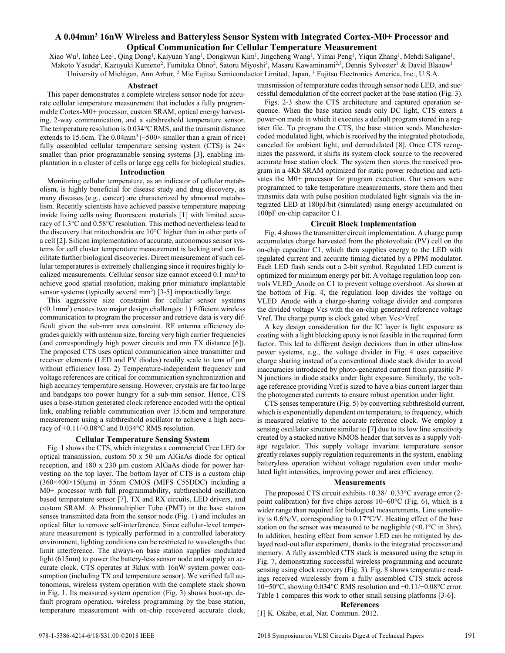# **A 0.04mm<sup>3</sup> 16nW Wireless and Batteryless Sensor System with Integrated Cortex-M0+ Processor and Optical Communication for Cellular Temperature Measurement**

Xiao Wu<sup>1</sup>, Inhee Lee<sup>1</sup>, Qing Dong<sup>1</sup>, Kaiyuan Yang<sup>1</sup>, Dongkwun Kim<sup>1</sup>, Jingcheng Wang<sup>1</sup>, Yimai Peng<sup>1</sup>, Yiqun Zhang<sup>1</sup>, Mehdi Saligane<sup>1</sup>, Makoto Yasuda<sup>2</sup>, Kazuyuki Kumeno<sup>2</sup>, Fumitaka Ohno<sup>2</sup>, Satoru Miyoshi<sup>3</sup>, Masaru Kawaminami<sup>2,3</sup>, Dennis Sylvester<sup>1</sup> & David Blaauw<sup>1</sup> <sup>1</sup>University of Michigan, Ann Arbor, <sup>2</sup> Mie Fujitsu Semiconductor Limited, Japan, <sup>3</sup> Fujitsu Electronics America, Inc., U.S.A.

## **Abstract**

 This paper demonstrates a complete wireless sensor node for accurate cellular temperature measurement that includes a fully programmable Cortex-M0+ processor, custom SRAM, optical energy harvesting, 2-way communication, and a subthreshold temperature sensor. The temperature resolution is 0.034°C RMS, and the transmit distance extends to 15.6cm. The  $0.04$ mm<sup>3</sup> ( $\sim$ 500 $\times$  smaller than a grain of rice) fully assembled cellular temperature sensing system (CTS) is  $24\times$ smaller than prior programmable sensing systems [3], enabling implantation in a cluster of cells or large egg cells for biological studies.

# **Introduction**

 Monitoring cellular temperature, as an indicator of cellular metabolism, is highly beneficial for disease study and drug discovery, as many diseases (e.g., cancer) are characterized by abnormal metabolism. Recently scientists have achieved passive temperature mapping inside living cells using fluorescent materials [1] with limited accuracy of 1.3°C and 0.58°C resolution. This method nevertheless lead to the discovery that mitochondria are 10°C higher than in other parts of a cell [2]. Silicon implementation of accurate, autonomous sensor systems for cell cluster temperature measurement is lacking and can facilitate further biological discoveries. Direct measurement of such cellular temperatures is extremely challenging since it requires highly localized measurements. Cellular sensor size cannot exceed 0.1 mm<sup>3</sup> to achieve good spatial resolution, making prior miniature implantable sensor systems (typically several  $mm<sup>3</sup>$ ) [3-5] impractically large.

 This aggressive size constraint for cellular sensor systems  $(<0.1$ mm<sup>3</sup>) creates two major design challenges: 1) Efficient wireless communication to program the processor and retrieve data is very difficult given the sub-mm area constraint. RF antenna efficiency degrades quickly with antenna size, forcing very high carrier frequencies (and correspondingly high power circuits and mm TX distance [6]). The proposed CTS uses optical communication since transmitter and receiver elements (LED and PV diodes) readily scale to tens of  $\mu$ m without efficiency loss. 2) Temperature-independent frequency and voltage references are critical for communication synchronization and high accuracy temperature sensing. However, crystals are far too large and bandgaps too power hungry for a sub-mm sensor. Hence, CTS uses a base-station generated clock reference encoded with the optical link, enabling reliable communication over 15.6cm and temperature measurement using a subthreshold oscillator to achieve a high accuracy of +0.11/-0.08°C and 0.034°C RMS resolution.

## **Cellular Temperature Sensing System**

Fig. 1 shows the CTS, which integrates a commercial Cree LED for optical transmission, custom 50 x 50 µm AlGaAs diode for optical reception, and 180 x 230 µm custom AlGaAs diode for power harvesting on the top layer. The bottom layer of CTS is a custom chip  $(360\times400\times150\mu m)$  in 55nm CMOS (MIFS C55DDC) including a M0+ processor with full programmability, subthreshold oscillation based temperature sensor [7], TX and RX circuits, LED drivers, and custom SRAM. A Photomultiplier Tube (PMT) in the base station senses transmitted data from the sensor node (Fig. 1) and includes an optical filter to remove self-interference. Since cellular-level temperature measurement is typically performed in a controlled laboratory environment, lighting conditions can be restricted to wavelengths that limit interference. The always-on base station supplies modulated light (615nm) to power the battery-less sensor node and supply an accurate clock. CTS operates at 3klux with 16nW system power consumption (including TX and temperature sensor). We verified full autonomous, wireless system operation with the complete stack shown in Fig. 1. Its measured system operation (Fig. 3) shows boot-up, default program operation, wireless programming by the base station, temperature measurement with on-chip recovered accurate clock,

transmission of temperature codes through sensor node LED, and successful demodulation of the correct packet at the base station (Fig. 3).

 Figs. 2-3 show the CTS architecture and captured operation sequence. When the base station sends only DC light, CTS enters a power-on mode in which it executes a default program stored in a register file. To program the CTS, the base station sends Manchestercoded modulated light, which is received by the integrated photodiode, canceled for ambient light, and demodulated [8]. Once CTS recognizes the password, it shifts its system clock source to the recovered accurate base station clock. The system then stores the received program in a 4Kb SRAM optimized for static power reduction and activates the M0+ processor for program execution. Our sensors were programmed to take temperature measurements, store them and then transmits data with pulse position modulated light signals via the integrated LED at 180pJ/bit (simulated) using energy accumulated on 100pF on-chip capacitor C1.

## **Circuit Block Implementation**

 Fig. 4 shows the transmitter circuit implementation. A charge pump accumulates charge harvested from the photovoltaic (PV) cell on the on-chip capacitor C1, which then supplies energy to the LED with regulated current and accurate timing dictated by a PPM modulator. Each LED flash sends out a 2-bit symbol. Regulated LED current is optimized for minimum energy per bit. A voltage regulation loop controls VLED\_Anode on C1 to prevent voltage overshoot. As shown at the bottom of Fig. 4, the regulation loop divides the voltage on VLED\_Anode with a charge-sharing voltage divider and compares the divided voltage Vcs with the on-chip generated reference voltage Vref. The charge pump is clock gated when Vcs>Vref.

 A key design consideration for the IC layer is light exposure as coating with a light blocking epoxy is not feasible in the required form factor. This led to different design decisions than in other ultra-low power systems, e.g., the voltage divider in Fig. 4 uses capacitive charge sharing instead of a conventional diode stack divider to avoid inaccuracies introduced by photo-generated current from parasitic P-N junctions in diode stacks under light exposure. Similarly, the voltage reference providing Vref is sized to have a bias current larger than the photogenerated currents to ensure robust operation under light.

 CTS senses temperature (Fig. 5) by converting subthreshold current, which is exponentially dependent on temperature, to frequency, which is measured relative to the accurate reference clock. We employ a sensing oscillator structure similar to [7] due to its low line sensitivity created by a stacked native NMOS header that serves as a supply voltage regulator. This supply voltage invariant temperature sensor greatly relaxes supply regulation requirements in the system, enabling batteryless operation without voltage regulation even under modulated light intensities, improving power and area efficiency.

### **Measurements**

The proposed CTS circuit exhibits +0.38/−0.33°C average error (2 point calibration) for five chips across 10−60°C (Fig. 6), which is a wider range than required for biological measurements. Line sensitivity is 0.6%/V, corresponding to 0.17°C/V. Heating effect of the base station on the sensor was measured to be negligible  $(\le 0.1^{\circ}\text{C}$  in 3hrs). In addition, heating effect from sensor LED can be mitigated by delayed read-out after experiment, thanks to the integrated processor and memory. A fully assembled CTS stack is measured using the setup in Fig. 7, demonstrating successful wireless programming and accurate sensing using clock recovery (Fig. 3). Fig. 8 shows temperature readings received wirelessly from a fully assembled CTS stack across 10−50°C, showing 0.034°C RMS resolution and +0.11/−0.08°C error. Table 1 compares this work to other small sensing platforms [3-6].

### **References**

[1] K. Okabe, et.al, Nat. Commun. 2012.